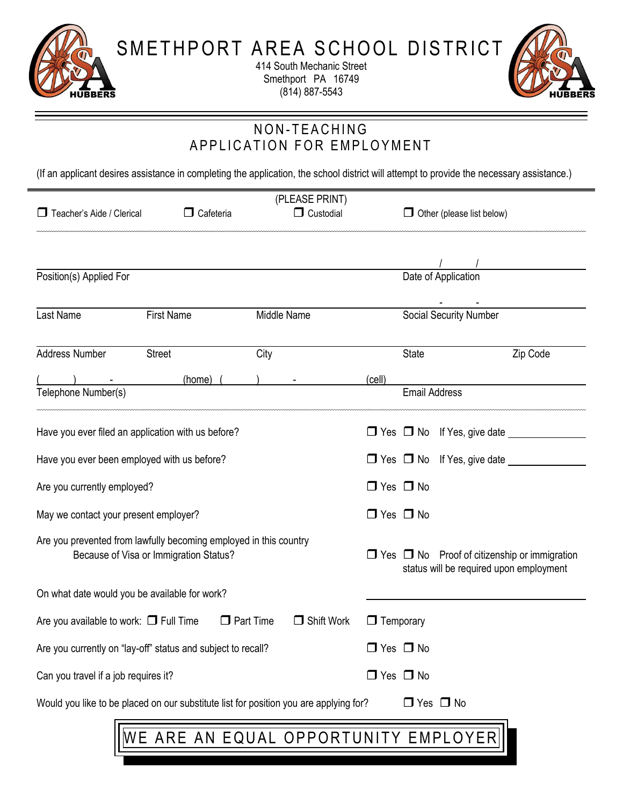

414 South Mechanic Street Smethport PA 16749 (814) 887-5543



# NON-TEACHING A P P LICATION FOR EMPLOYMENT

(If an applicant desires assistance in completing the application, the school district will attempt to provide the necessary assistance.)

| (PLEASE PRINT)                                                                                              |                                                                                       |                                       |                  |                                                                                                     |          |  |
|-------------------------------------------------------------------------------------------------------------|---------------------------------------------------------------------------------------|---------------------------------------|------------------|-----------------------------------------------------------------------------------------------------|----------|--|
| Teacher's Aide / Clerical                                                                                   | $\Box$ Cafeteria                                                                      | $\Box$ Custodial                      |                  | $\Box$ Other (please list below)                                                                    |          |  |
|                                                                                                             |                                                                                       |                                       |                  |                                                                                                     |          |  |
|                                                                                                             |                                                                                       |                                       |                  |                                                                                                     |          |  |
| Position(s) Applied For                                                                                     |                                                                                       |                                       |                  | Date of Application                                                                                 |          |  |
| <b>Last Name</b>                                                                                            | <b>First Name</b>                                                                     | Middle Name                           |                  | <b>Social Security Number</b>                                                                       |          |  |
| Address Number                                                                                              | <b>Street</b>                                                                         | City                                  |                  | <b>State</b>                                                                                        | Zip Code |  |
|                                                                                                             | (home)                                                                                |                                       | (cell)           |                                                                                                     |          |  |
| Telephone Number(s)                                                                                         |                                                                                       |                                       |                  | <b>Email Address</b>                                                                                |          |  |
|                                                                                                             | Have you ever filed an application with us before?                                    |                                       |                  | $\Box$ Yes $\Box$ No If Yes, give date _____                                                        |          |  |
| Have you ever been employed with us before?                                                                 |                                                                                       |                                       |                  | □ Yes □ No If Yes, give date <u>__________</u>                                                      |          |  |
| Are you currently employed?                                                                                 |                                                                                       |                                       |                  | $\Box$ Yes $\Box$ No                                                                                |          |  |
| May we contact your present employer?                                                                       |                                                                                       |                                       |                  | $\Box$ Yes $\Box$ No                                                                                |          |  |
| Are you prevented from lawfully becoming employed in this country<br>Because of Visa or Immigration Status? |                                                                                       |                                       |                  | $\Box$ Yes $\Box$ No Proof of citizenship or immigration<br>status will be required upon employment |          |  |
| On what date would you be available for work?                                                               |                                                                                       |                                       |                  |                                                                                                     |          |  |
| Are you available to work: $\Box$ Full Time                                                                 |                                                                                       | $\Box$ Part Time<br>$\Box$ Shift Work | $\Box$ Temporary |                                                                                                     |          |  |
| Are you currently on "lay-off" status and subject to recall?                                                |                                                                                       |                                       |                  | $\Box$ Yes $\Box$ No                                                                                |          |  |
| Can you travel if a job requires it?                                                                        |                                                                                       |                                       |                  | $\Box$ Yes $\Box$ No                                                                                |          |  |
|                                                                                                             | Would you like to be placed on our substitute list for position you are applying for? |                                       |                  | $\Box$ Yes $\Box$ No                                                                                |          |  |
| WE ARE AN EQUAL OPPORTUNITY EMPLOYER                                                                        |                                                                                       |                                       |                  |                                                                                                     |          |  |
|                                                                                                             |                                                                                       |                                       |                  |                                                                                                     |          |  |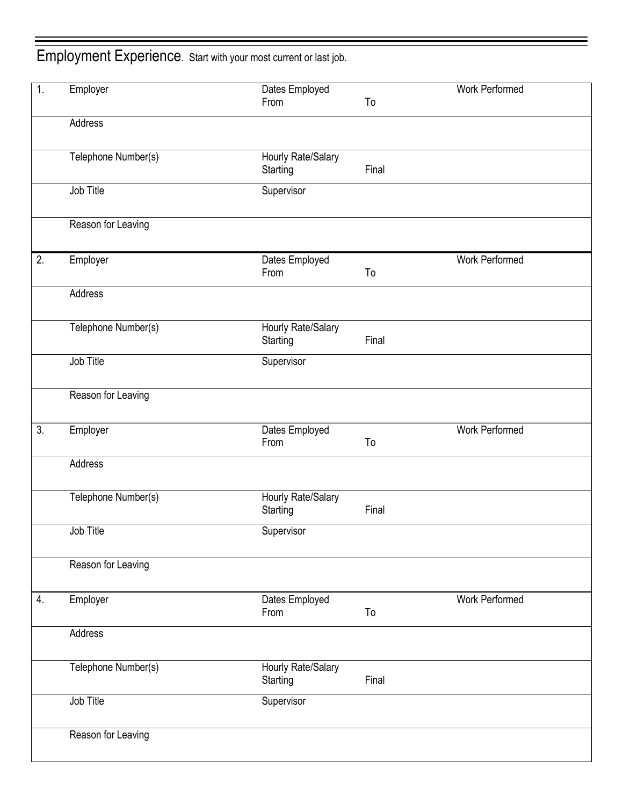Employment Experience. Start with your most current or last job.

| $\mathbf{1}$ . | Employer            | Dates Employed         |       | Work Performed |
|----------------|---------------------|------------------------|-------|----------------|
|                |                     | From                   | To    |                |
|                | Address             |                        |       |                |
|                |                     |                        |       |                |
|                | Telephone Number(s) | Hourly Rate/Salary     |       |                |
|                |                     | Starting               | Final |                |
|                | Job Title           | Supervisor             |       |                |
|                |                     |                        |       |                |
|                | Reason for Leaving  |                        |       |                |
|                |                     |                        |       |                |
| 2.             | Employer            | Dates Employed         |       | Work Performed |
|                |                     | From                   | To    |                |
|                | Address             |                        |       |                |
|                |                     |                        |       |                |
|                | Telephone Number(s) | Hourly Rate/Salary     |       |                |
|                |                     | Starting               | Final |                |
|                | Job Title           | Supervisor             |       |                |
|                |                     |                        |       |                |
|                | Reason for Leaving  |                        |       |                |
|                |                     |                        |       |                |
| 3.             | Employer            | Dates Employed         |       | Work Performed |
|                |                     | From                   | To    |                |
|                | Address             |                        |       |                |
|                |                     |                        |       |                |
|                | Telephone Number(s) | Hourly Rate/Salary     | Final |                |
|                |                     | Starting               |       |                |
|                | Job Title           | Supervisor             |       |                |
|                |                     |                        |       |                |
|                | Reason for Leaving  |                        |       |                |
|                |                     |                        |       |                |
| 4.             | Employer            | Dates Employed<br>From | To    | Work Performed |
|                |                     |                        |       |                |
|                | Address             |                        |       |                |
|                | Telephone Number(s) | Hourly Rate/Salary     |       |                |
|                |                     | Starting               | Final |                |
|                | Job Title           | Supervisor             |       |                |
|                |                     |                        |       |                |
|                | Reason for Leaving  |                        |       |                |
|                |                     |                        |       |                |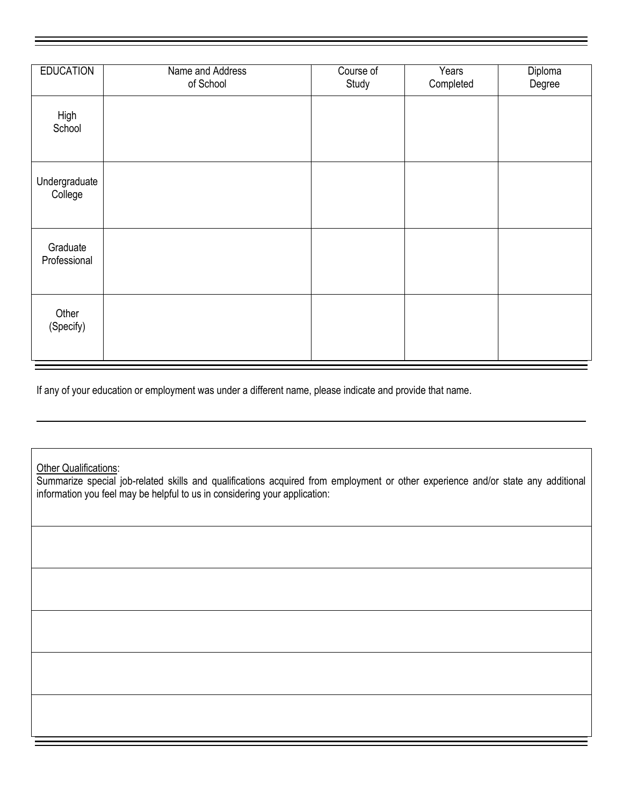| <b>EDUCATION</b>         | Name and Address<br>of School | Course of<br>Study | Years<br>Completed | Diploma<br>Degree |
|--------------------------|-------------------------------|--------------------|--------------------|-------------------|
| High<br>School           |                               |                    |                    |                   |
| Undergraduate<br>College |                               |                    |                    |                   |
| Graduate<br>Professional |                               |                    |                    |                   |
| Other<br>(Specify)       |                               |                    |                    |                   |

If any of your education or employment was under a different name, please indicate and provide that name.

**Other Qualifications:** 

Summarize special job-related skills and qualifications acquired from employment or other experience and/or state any additional information you feel may be helpful to us in considering your application: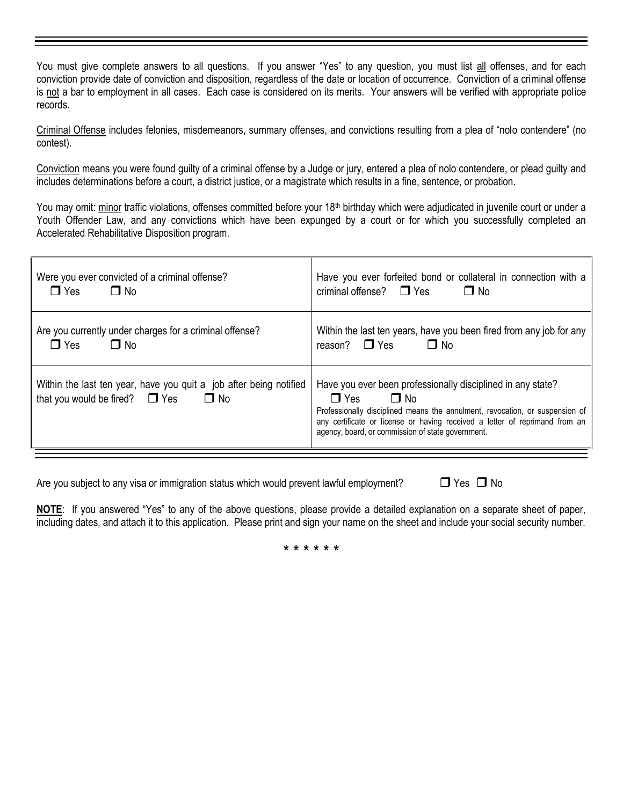You must give complete answers to all questions. If you answer "Yes" to any question, you must list all offenses, and for each conviction provide date of conviction and disposition, regardless of the date or location of occurrence. Conviction of a criminal offense is not a bar to employment in all cases. Each case is considered on its merits. Your answers will be verified with appropriate police records.

Criminal Offense includes felonies, misdemeanors, summary offenses, and convictions resulting from a plea of "nolo contendere" (no contest).

Conviction means you were found guilty of a criminal offense by a Judge or jury, entered a plea of nolo contendere, or plead guilty and includes determinations before a court, a district justice, or a magistrate which results in a fine, sentence, or probation.

You may omit: minor traffic violations, offenses committed before your 18<sup>th</sup> birthday which were adjudicated in juvenile court or under a Youth Offender Law, and any convictions which have been expunged by a court or for which you successfully completed an Accelerated Rehabilitative Disposition program.

| Were you ever convicted of a criminal offense?                                                                         | Have you ever forfeited bond or collateral in connection with a                                                                                                                                                                                                                                            |
|------------------------------------------------------------------------------------------------------------------------|------------------------------------------------------------------------------------------------------------------------------------------------------------------------------------------------------------------------------------------------------------------------------------------------------------|
| $\Box$ Yes                                                                                                             | criminal offense? $\Box$ Yes                                                                                                                                                                                                                                                                               |
| $\Box$ No                                                                                                              | $\Box$ No                                                                                                                                                                                                                                                                                                  |
| Are you currently under charges for a criminal offense?                                                                | Within the last ten years, have you been fired from any job for any                                                                                                                                                                                                                                        |
| $\Box$ No                                                                                                              | $\Box$ No                                                                                                                                                                                                                                                                                                  |
| $\Box$ Yes                                                                                                             | reason? $\Box$ Yes                                                                                                                                                                                                                                                                                         |
| Within the last ten year, have you quit a job after being notified<br>that you would be fired? $\Box$ Yes<br>$\Box$ No | Have you ever been professionally disciplined in any state?<br>$\Box$ Yes<br>$\Box$ No<br>Professionally disciplined means the annulment, revocation, or suspension of<br>any certificate or license or having received a letter of reprimand from an<br>agency, board, or commission of state government. |

Are you subject to any visa or immigration status which would prevent lawful employment?  $\square$  Yes  $\square$  No

**NOTE**: If you answered "Yes" to any of the above questions, please provide a detailed explanation on a separate sheet of paper, including dates, and attach it to this application. Please print and sign your name on the sheet and include your social security number.

\* \* \* \* \* \*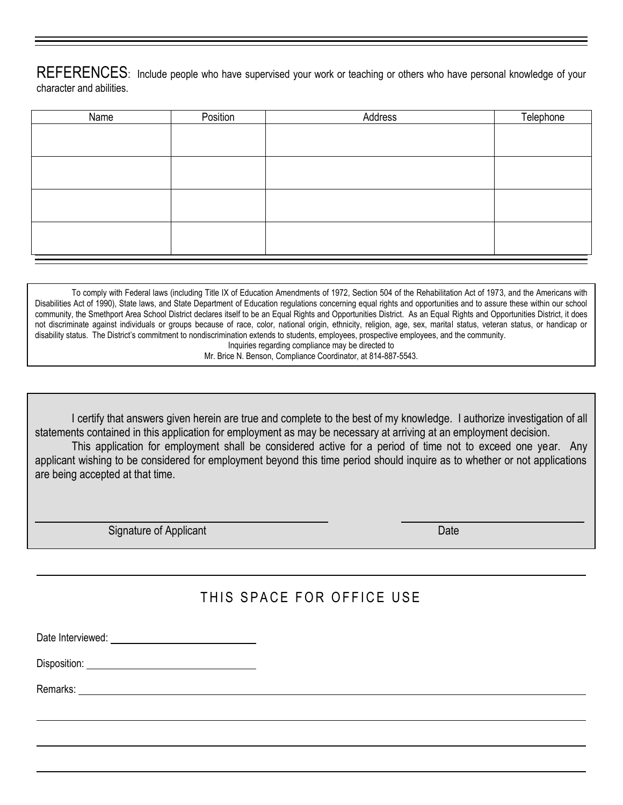REFERENCES: Include people who have supervised your work or teaching or others who have personal knowledge of your character and abilities.

| Name | Position | Address | Telephone |
|------|----------|---------|-----------|
|      |          |         |           |
|      |          |         |           |
|      |          |         |           |
|      |          |         |           |
|      |          |         |           |
|      |          |         |           |
|      |          |         |           |
|      |          |         |           |

To comply with Federal laws (including Title IX of Education Amendments of 1972, Section 504 of the Rehabilitation Act of 1973, and the Americans with Disabilities Act of 1990), State laws, and State Department of Education regulations concerning equal rights and opportunities and to assure these within our school community, the Smethport Area School District declares itself to be an Equal Rights and Opportunities District. As an Equal Rights and Opportunities District, it does not discriminate against individuals or groups because of race, color, national origin, ethnicity, religion, age, sex, marital status, veteran status, or handicap or disability status. The District's commitment to nondiscrimination extends to students, employees, prospective employees, and the community. Inquiries regarding compliance may be directed to

Mr. Brice N. Benson, Compliance Coordinator, at 814-887-5543.

I certify that answers given herein are true and complete to the best of my knowledge. I authorize investigation of all statements contained in this application for employment as may be necessary at arriving at an employment decision.

This application for employment shall be considered active for a period of time not to exceed one year. Any applicant wishing to be considered for employment beyond this time period should inquire as to whether or not applications are being accepted at that time.

Signature of Applicant Date Control of Applicant Date Date Date Date Date

# THIS SPACE FOR OFFICE USE

Date Interviewed: We have a state of the state of the state of the state of the state of the state of the state of the state of the state of the state of the state of the state of the state of the state of the state of the

Disposition:

Remarks: **Example 2008 Remarks: Contract 2008 Remarks: Contract 2008**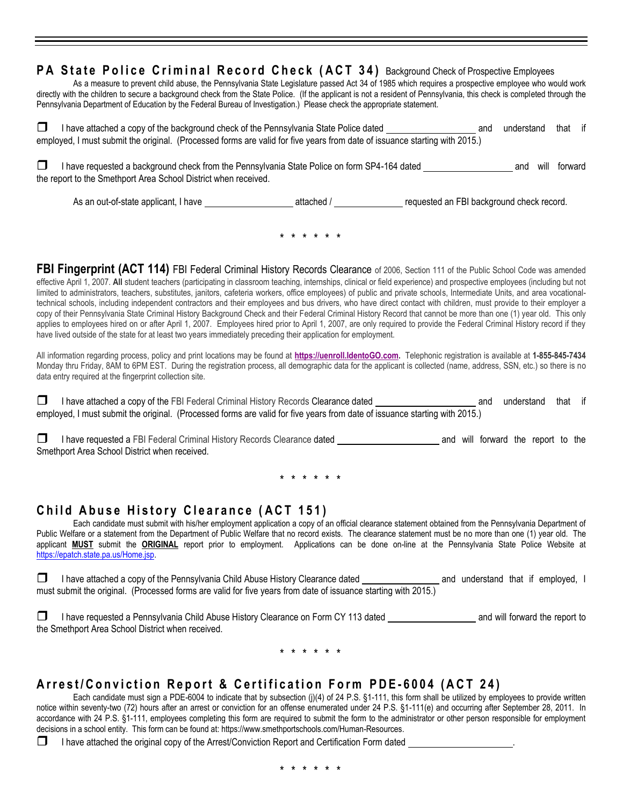#### **PA State Police Criminal Record Check (ACT 34) Background Check of Prospective Employees**

As a measure to prevent child abuse, the Pennsylvania State Legislature passed Act 34 of 1985 which requires a prospective employee who would work directly with the children to secure a background check from the State Police. (If the applicant is not a resident of Pennsylvania, this check is completed through the Pennsylvania Department of Education by the Federal Bureau of Investigation.) Please check the appropriate statement.

 $\Box$  I have attached a copy of the background check of the Pennsylvania State Police dated and and understand that if employed, I must submit the original. (Processed forms are valid for five years from date of issuance starting with 2015.)

**□** I have requested a background check from the Pennsylvania State Police on form SP4-164 dated and will forward the report to the Smethport Area School District when received.

As an out-of-state applicant, I have attached / requested an FBI background check record.

\* \* \* \* \* \*

**FBI Fingerprint (ACT 114)** FBI Federal Criminal History Records Clearance of 2006, Section 111 of the Public School Code was amended effective April 1, 2007. **All** student teachers (participating in classroom teaching, internships, clinical or field experience) and prospective employees (including but not limited to administrators, teachers, substitutes, janitors, cafeteria workers, office employees) of public and private schools, Intermediate Units, and area vocationaltechnical schools, including independent contractors and their employees and bus drivers, who have direct contact with children, must provide to their employer a copy of their Pennsylvania State Criminal History Background Check and their Federal Criminal History Record that cannot be more than one (1) year old. This only applies to employees hired on or after April 1, 2007. Employees hired prior to April 1, 2007, are only required to provide the Federal Criminal History record if they have lived outside of the state for at least two years immediately preceding their application for employment.

All information regarding process, policy and print locations may be found at **[https://uenroll.IdentoGO.com.](http://www.pa.cogentid.com/)** Telephonic registration is available at **1-855-845-7434** Monday thru Friday, 8AM to 6PM EST. During the registration process, all demographic data for the applicant is collected (name, address, SSN, etc.) so there is no data entry required at the fingerprint collection site.

I have attached a copy of the FBI Federal Criminal History Records Clearance dated and and understand that if employed, I must submit the original. (Processed forms are valid for five years from date of issuance starting with 2015.)

I have requested a FBI Federal Criminal History Records Clearance dated and and will forward the report to the Smethport Area School District when received.

\* \* \* \* \* \*

#### **Child Abuse History Clearance (ACT 151)**

Each candidate must submit with his/her employment application a copy of an official clearance statement obtained from the Pennsylvania Department of Public Welfare or a statement from the Department of Public Welfare that no record exists. The clearance statement must be no more than one (1) year old. The applicant **MUST** submit the **ORIGINAL** report prior to employment. Applications can be done on-line at the Pennsylvania State Police Website at [https://epatch.state.pa.us/Home.jsp.](https://epatch.state.pa.us/Home.jsp)

 I have attached a copy of the Pennsylvania Child Abuse History Clearance dated and understand that if employed, I must submit the original. (Processed forms are valid for five years from date of issuance starting with 2015.)

I have requested a Pennsylvania Child Abuse History Clearance on Form CY 113 dated and will forward the report to the Smethport Area School District when received.

\* \* \* \* \* \*

#### **A r r e s t / C o n v i c t i o n R e p o r t & C e r t i f i c a t i o n F o r m P D E - 6004 ( A C T 2 4 )**

Each candidate must sign a PDE-6004 to indicate that by subsection (j)(4) of 24 P.S. §1-111, this form shall be utilized by employees to provide written notice within seventy-two (72) hours after an arrest or conviction for an offense enumerated under 24 P.S. §1-111(e) and occurring after September 28, 2011. In accordance with 24 P.S. §1-111, employees completing this form are required to submit the form to the administrator or other person responsible for employment decisions in a school entity. This form can be found at: https://www.smethportschools.com/Human-Resources.

 $\Box$  I have attached the original copy of the Arrest/Conviction Report and Certification Form dated  $\Box$